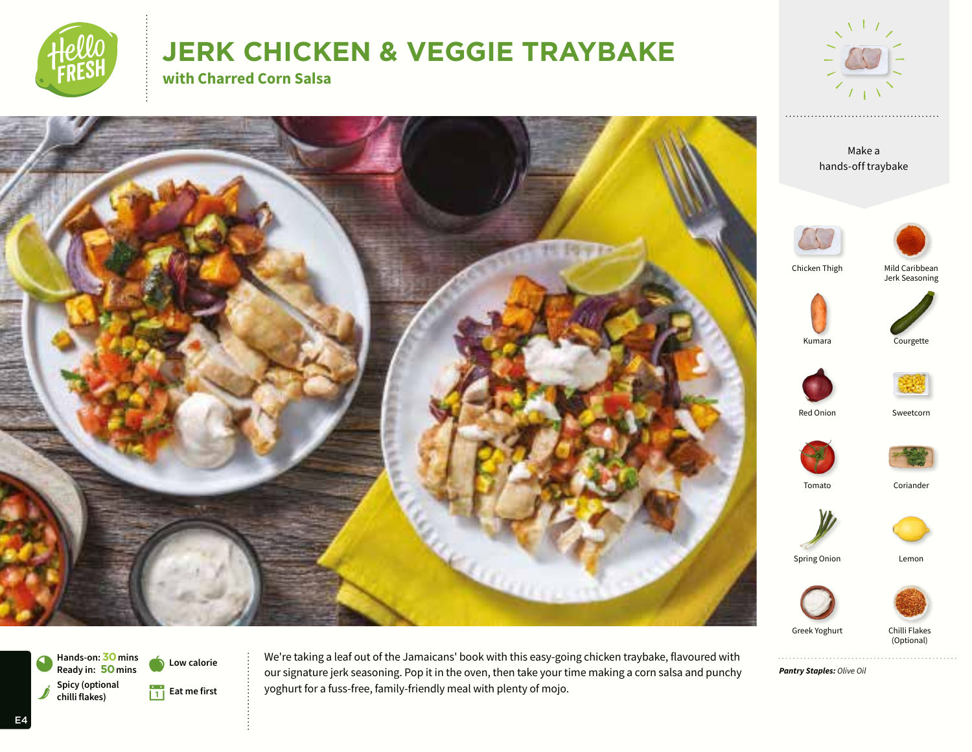

# **JERK CHICKEN & VEGGIE TRAYBAKE**

**with Charred Corn Salsa**

 $\ldots$  . . .



Greek Yoghurt

Chilli Flakes (Optional)

*Pantry Staples: Olive Oil*

**Hands-on:** 30 mins<br>Ready in: 50 mins **Spicy (optional and a line first** chilli flakes)

**A** Low calorie **We're taking a leaf out of the Jamaicans'** book with this easy-going chicken traybake, flavoured with our signature jerk seasoning. Pop it in the oven, then take your time making a corn salsa and punchy yoghurt for a fuss-free, family-friendly meal with plenty of mojo.